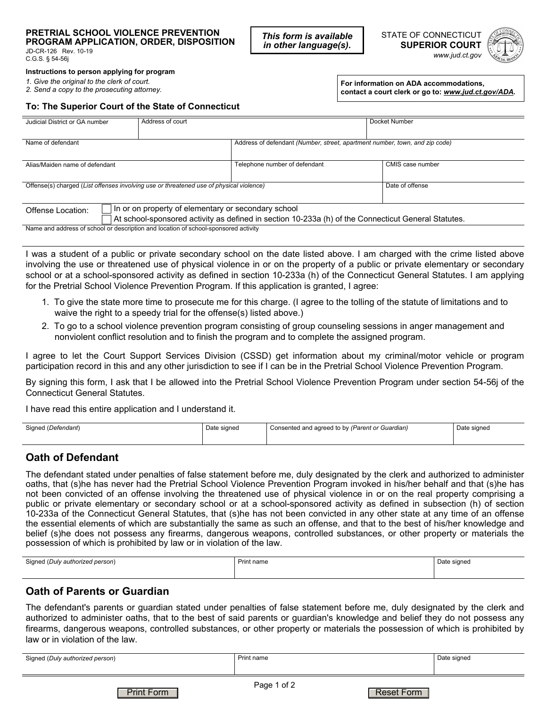#### **PRETRIAL SCHOOL VIOLENCE PREVENTION PROGRAM APPLICATION, ORDER, DISPOSITION**

JD-CR-126 Rev. 10-19 C.G.S. § 54-56j

**Instructions to person applying for program** 

*1. Give the original to the clerk of court.*

*2. Send a copy to the prosecuting attorney.*

**For information on ADA accommodations, contact a court clerk or go to:** *www.jud.ct.gov/ADA.*

#### **To: The Superior Court of the State of Connecticut**

| Judicial District or GA number                                                                      | Address of court |                                                                             | Docket Number    |  |
|-----------------------------------------------------------------------------------------------------|------------------|-----------------------------------------------------------------------------|------------------|--|
|                                                                                                     |                  |                                                                             |                  |  |
| Name of defendant                                                                                   |                  | Address of defendant (Number, street, apartment number, town, and zip code) |                  |  |
| Alias/Maiden name of defendant                                                                      |                  | Telephone number of defendant                                               | CMIS case number |  |
|                                                                                                     |                  |                                                                             |                  |  |
| Offense(s) charged (List offenses involving use or threatened use of physical violence)             |                  |                                                                             | Date of offense  |  |
|                                                                                                     |                  |                                                                             |                  |  |
| In or on property of elementary or secondary school<br>Offense Location:                            |                  |                                                                             |                  |  |
| At school-sponsored activity as defined in section 10-233a (h) of the Connecticut General Statutes. |                  |                                                                             |                  |  |
| Name and address of school or description and location of school-sponsored activity                 |                  |                                                                             |                  |  |

*This form is available in other language(s).*

I was a student of a public or private secondary school on the date listed above. I am charged with the crime listed above involving the use or threatened use of physical violence in or on the property of a public or private elementary or secondary school or at a school-sponsored activity as defined in section 10-233a (h) of the Connecticut General Statutes. I am applying for the Pretrial School Violence Prevention Program. If this application is granted, I agree:

- 1. To give the state more time to prosecute me for this charge. (I agree to the tolling of the statute of limitations and to waive the right to a speedy trial for the offense(s) listed above.)
- 2. To go to a school violence prevention program consisting of group counseling sessions in anger management and nonviolent conflict resolution and to finish the program and to complete the assigned program.

I agree to let the Court Support Services Division (CSSD) get information about my criminal/motor vehicle or program participation record in this and any other jurisdiction to see if I can be in the Pretrial School Violence Prevention Program.

By signing this form, I ask that I be allowed into the Pretrial School Violence Prevention Program under section 54-56j of the Connecticut General Statutes.

I have read this entire application and I understand it.

|  | Signed (Defendant) | Date signed | Consented and agreed to by (Parent or Guardian) | Date signed |
|--|--------------------|-------------|-------------------------------------------------|-------------|
|--|--------------------|-------------|-------------------------------------------------|-------------|

### **Oath of Defendant**

The defendant stated under penalties of false statement before me, duly designated by the clerk and authorized to administer oaths, that (s)he has never had the Pretrial School Violence Prevention Program invoked in his/her behalf and that (s)he has not been convicted of an offense involving the threatened use of physical violence in or on the real property comprising a public or private elementary or secondary school or at a school-sponsored activity as defined in subsection (h) of section 10-233a of the Connecticut General Statutes, that (s)he has not been convicted in any other state at any time of an offense the essential elements of which are substantially the same as such an offense, and that to the best of his/her knowledge and belief (s)he does not possess any firearms, dangerous weapons, controlled substances, or other property or materials the possession of which is prohibited by law or in violation of the law.

| Signed (Duly authorized person) | Print name | Date signed<br>$ \cdots$<br>. <u>. .</u> |
|---------------------------------|------------|------------------------------------------|
|                                 |            |                                          |

### **Oath of Parents or Guardian**

The defendant's parents or guardian stated under penalties of false statement before me, duly designated by the clerk and authorized to administer oaths, that to the best of said parents or guardian's knowledge and belief they do not possess any firearms, dangerous weapons, controlled substances, or other property or materials the possession of which is prohibited by law or in violation of the law.

Page 1 of 2 Signed (*Duly authorized person*) **Print name** Print name Date signed **Date signed** Print Form **Reset Form**